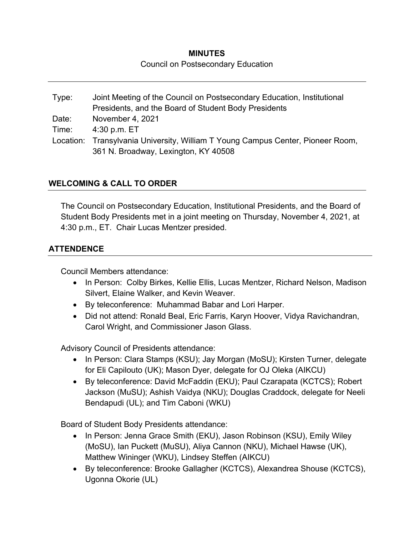## **MINUTES**  Council on Postsecondary Education

Type: Joint Meeting of the Council on Postsecondary Education, Institutional Presidents, and the Board of Student Body Presidents Date: November 4, 2021 Time: 4:30 p.m. ET Location: Transylvania University, William T Young Campus Center, Pioneer Room, 361 N. Broadway, Lexington, KY 40508

# **WELCOMING & CALL TO ORDER**

The Council on Postsecondary Education, Institutional Presidents, and the Board of Student Body Presidents met in a joint meeting on Thursday, November 4, 2021, at 4:30 p.m., ET. Chair Lucas Mentzer presided.

# **ATTENDENCE**

Council Members attendance:

- In Person: Colby Birkes, Kellie Ellis, Lucas Mentzer, Richard Nelson, Madison Silvert, Elaine Walker, and Kevin Weaver.
- By teleconference: Muhammad Babar and Lori Harper.
- Did not attend: Ronald Beal, Eric Farris, Karyn Hoover, Vidya Ravichandran, Carol Wright, and Commissioner Jason Glass.

Advisory Council of Presidents attendance:

- In Person: Clara Stamps (KSU); Jay Morgan (MoSU); Kirsten Turner, delegate for Eli Capilouto (UK); Mason Dyer, delegate for OJ Oleka (AIKCU)
- By teleconference: David McFaddin (EKU); Paul Czarapata (KCTCS); Robert Jackson (MuSU); Ashish Vaidya (NKU); Douglas Craddock, delegate for Neeli Bendapudi (UL); and Tim Caboni (WKU)

Board of Student Body Presidents attendance:

- In Person: Jenna Grace Smith (EKU), Jason Robinson (KSU), Emily Wiley (MoSU), Ian Puckett (MuSU), Aliya Cannon (NKU), Michael Hawse (UK), Matthew Wininger (WKU), Lindsey Steffen (AIKCU)
- By teleconference: Brooke Gallagher (KCTCS), Alexandrea Shouse (KCTCS), Ugonna Okorie (UL)